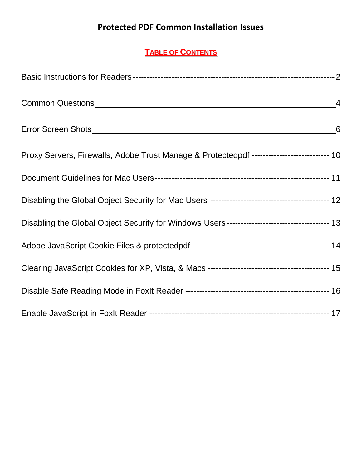# **Protected PDF Common Installation Issues**

# **TABLE OF CONTENTS**

| Common Questions <b>Common Questions Common Questions</b>                                 | $\overline{4}$  |
|-------------------------------------------------------------------------------------------|-----------------|
|                                                                                           | $6\overline{6}$ |
| Proxy Servers, Firewalls, Adobe Trust Manage & Protectedpdf -------------------------- 10 |                 |
|                                                                                           |                 |
|                                                                                           |                 |
|                                                                                           |                 |
|                                                                                           |                 |
|                                                                                           |                 |
|                                                                                           |                 |
|                                                                                           |                 |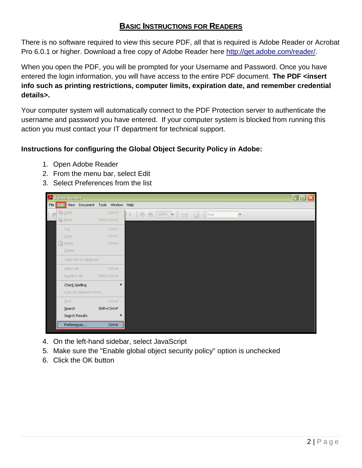# **BASIC INSTRUCTIONS FOR READERS**

There is no software required to view this secure PDF, all that is required is Adobe Reader or Acrobat Pro 6.0.1 or higher. Download a free copy of Adobe Reader here [http://get.adobe.com/reader/.](http://get.adobe.com/reader/)

When you open the PDF, you will be prompted for your Username and Password. Once you have entered the login information, you will have access to the entire PDF document. **The PDF <insert info such as printing restrictions, computer limits, expiration date, and remember credential details>.**

Your computer system will automatically connect to the PDF Protection server to authenticate the username and password you have entered. If your computer system is blocked from running this action you must contact your IT department for technical support.

## **Instructions for configuring the Global Object Security Policy in Adobe:**

- 1. Open Adobe Reader
- 2. From the menu bar, select Edit
- 3. Select Preferences from the list



- 4. On the left-hand sidebar, select JavaScript
- 5. Make sure the "Enable global object security policy" option is unchecked
- 6. Click the OK button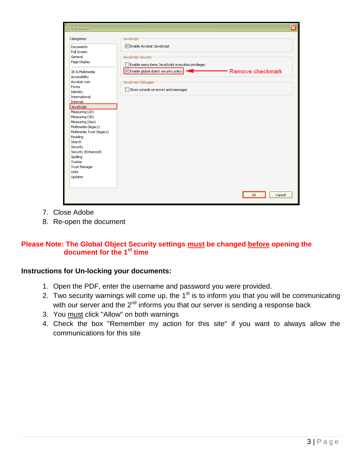| <b>Preferences</b>                                                                                                                                                                                        |                                                                                                                                                                                                                           |                  | ⊠ |
|-----------------------------------------------------------------------------------------------------------------------------------------------------------------------------------------------------------|---------------------------------------------------------------------------------------------------------------------------------------------------------------------------------------------------------------------------|------------------|---|
| Categories:<br>Documents<br>Full Screen<br>General<br>Page Display<br>3D & Multimedia<br>Accessibility<br>Acrobat.com<br>Forms<br>Identity<br>International<br>Internet<br>JavaScript<br>Measuring (2D)   | JavaScript<br>Enable Acrobat JavaScript<br>JavaScript Security<br>Enable menu items JavaScript execution privileges<br>Enable global object security policy<br>JavaScript Debugger<br>Show console on errors and messages | Remove checkmark |   |
| Measuring (3D)<br>Measuring (Geo)<br>Multimedia (legacy)<br>Multimedia Trust (legacy)<br>Reading<br>Search<br>Security<br>Security (Enhanced)<br>Spelling<br>Tracker<br>Trust Manager<br>Units<br>Updater |                                                                                                                                                                                                                           |                  |   |
|                                                                                                                                                                                                           |                                                                                                                                                                                                                           | Cancel<br>OK     |   |

- 7. Close Adobe
- 8. Re-open the document

## **Please Note: The Global Object Security settings must be changed before opening the document for the 1st time**

## **Instructions for Un-locking your documents:**

- 1. Open the PDF, enter the username and password you were provided.
- 2. Two security warnings will come up, the 1<sup>st</sup> is to inform you that you will be communicating with our server and the 2<sup>nd</sup> informs you that our server is sending a response back
- 3. You must click "Allow" on both warnings
- 4. Check the box "Remember my action for this site" if you want to always allow the communications for this site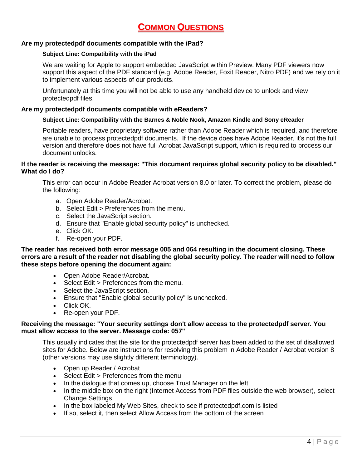# **COMMON QUESTIONS**

### **Are my protectedpdf documents compatible with the iPad?**

#### **Subject Line: Compatibility with the iPad**

We are waiting for Apple to support embedded JavaScript within Preview. Many PDF viewers now support this aspect of the PDF standard (e.g. Adobe Reader, Foxit Reader, Nitro PDF) and we rely on it to implement various aspects of our products.

Unfortunately at this time you will not be able to use any handheld device to unlock and view protectedpdf files.

### **Are my protectedpdf documents compatible with eReaders?**

#### **Subject Line: Compatibility with the Barnes & Noble Nook, Amazon Kindle and Sony eReader**

Portable readers, have proprietary software rather than Adobe Reader which is required, and therefore are unable to process protectedpdf documents. If the device does have Adobe Reader, it's not the full version and therefore does not have full Acrobat JavaScript support, which is required to process our document unlocks.

#### **If the reader is receiving the message: "This document requires global security policy to be disabled." What do I do?**

This error can occur in Adobe Reader Acrobat version 8.0 or later. To correct the problem, please do the following:

- a. Open Adobe Reader/Acrobat.
- b. Select Edit > Preferences from the menu.
- c. Select the JavaScript section.
- d. Ensure that "Enable global security policy" is unchecked.
- e. Click OK.
- f. Re-open your PDF.

**The reader has received both error message 005 and 064 resulting in the document closing. These errors are a result of the reader not disabling the global security policy. The reader will need to follow these steps before opening the document again:**

- Open Adobe Reader/Acrobat.
- Select Edit > Preferences from the menu.
- Select the JavaScript section.
- Ensure that "Enable global security policy" is unchecked.
- Click OK.
- Re-open your PDF.

#### **Receiving the message: "Your security settings don't allow access to the protectedpdf server. You must allow access to the server. Message code: 057"**

This usually indicates that the site for the protectedpdf server has been added to the set of disallowed sites for Adobe. Below are instructions for resolving this problem in Adobe Reader / Acrobat version 8 (other versions may use slightly different terminology).

- Open up Reader / Acrobat
- Select Edit > Preferences from the menu
- In the dialogue that comes up, choose Trust Manager on the left
- In the middle box on the right (Internet Access from PDF files outside the web browser), select Change Settings
- In the box labeled My Web Sites, check to see if protectedpdf.com is listed
- If so, select it, then select Allow Access from the bottom of the screen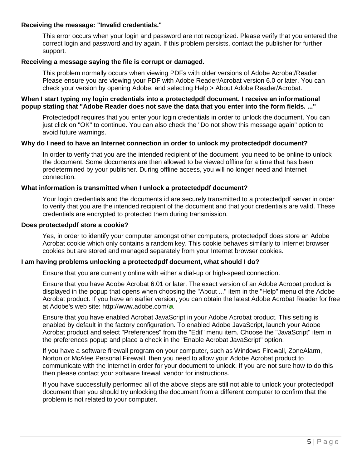### **Receiving the message: "Invalid credentials."**

This error occurs when your login and password are not recognized. Please verify that you entered the correct login and password and try again. If this problem persists, contact the publisher for further support.

### **Receiving a message saying the file is corrupt or damaged.**

This problem normally occurs when viewing PDFs with older versions of Adobe Acrobat/Reader. Please ensure you are viewing your PDF with Adobe Reader/Acrobat version 6.0 or later. You can check your version by opening Adobe, and selecting Help > About Adobe Reader/Acrobat.

#### **When I start typing my login credentials into a protectedpdf document, I receive an informational popup stating that "Adobe Reader does not save the data that you enter into the form fields. ..."**

Protectedpdf requires that you enter your login credentials in order to unlock the document. You can just click on "OK" to continue. You can also check the "Do not show this message again" option to avoid future warnings.

#### **Why do I need to have an Internet connection in order to unlock my protectedpdf document?**

In order to verify that you are the intended recipient of the document, you need to be online to unlock the document. Some documents are then allowed to be viewed offline for a time that has been predetermined by your publisher. During offline access, you will no longer need and Internet connection.

#### **What information is transmitted when I unlock a protectedpdf document?**

Your login credentials and the documents id are securely transmitted to a protectedpdf server in order to verify that you are the intended recipient of the document and that your credentials are valid. These credentials are encrypted to protected them during transmission.

#### **Does protectedpdf store a cookie?**

Yes, in order to identify your computer amongst other computers, protectedpdf does store an Adobe Acrobat cookie which only contains a random key. This cookie behaves similarly to Internet browser cookies but are stored and managed separately from your Internet browser cookies.

### **I am having problems unlocking a protectedpdf document, what should I do?**

Ensure that you are currently online with either a dial-up or high-speed connection.

Ensure that you have Adobe Acrobat 6.01 or later. The exact version of an Adobe Acrobat product is displayed in the popup that opens when choosing the "About ..." item in the "Help" menu of the Adobe Acrobat product. If you have an earlier version, you can obtain the latest Adobe Acrobat Reader for free at Adobe's web site:<http://www.adobe.com/>a.

Ensure that you have enabled Acrobat JavaScript in your Adobe Acrobat product. This setting is enabled by default in the factory configuration. To enabled Adobe JavaScript, launch your Adobe Acrobat product and select "Preferences" from the "Edit" menu item. Choose the "JavaScript" item in the preferences popup and place a check in the "Enable Acrobat JavaScript" option.

If you have a software firewall program on your computer, such as Windows Firewall, ZoneAlarm, Norton or McAfee Personal Firewall, then you need to allow your Adobe Acrobat product to communicate with the Internet in order for your document to unlock. If you are not sure how to do this then please contact your software firewall vendor for instructions.

If you have successfully performed all of the above steps are still not able to unlock your protectedpdf document then you should try unlocking the document from a different computer to confirm that the problem is not related to your computer.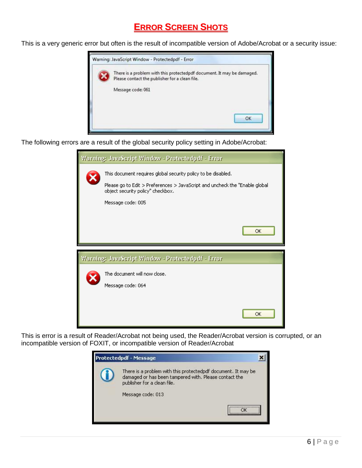# **ERROR SCREEN SHOTS**

This is a very generic error but often is the result of incompatible version of Adobe/Acrobat or a security issue:



The following errors are a result of the global security policy setting in Adobe/Acrobat:



This is error is a result of Reader/Acrobat not being used, the Reader/Acrobat version is corrupted, or an incompatible version of FOXIT, or incompatible version of Reader/Acrobat

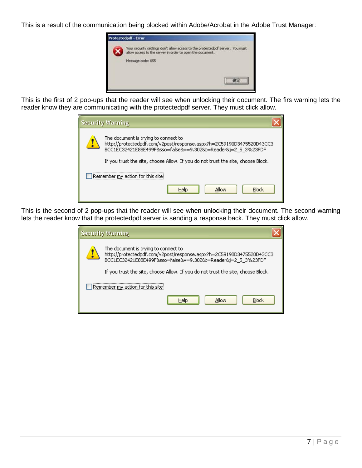This is a result of the communication being blocked within Adobe/Acrobat in the Adobe Trust Manager:



This is the first of 2 pop-ups that the reader will see when unlocking their document. The firs warning lets the reader know they are communicating with the protectedpdf server. They must click allow.

| <b>Security Warning</b>                                                                                                                                                      |
|------------------------------------------------------------------------------------------------------------------------------------------------------------------------------|
| The document is trying to connect to<br>http://protectedpdf.com/v2post/response.aspx?h=2C59190D3475520D43CC3<br>BCC1EC32421E8BE499F&sso=false&v=9.302&t=Reader&j=2_5_3%23FDF |
| If you trust the site, choose Allow. If you do not trust the site, choose Block.                                                                                             |
| Remember my action for this site                                                                                                                                             |
| <b>Block</b><br>Allow<br>Help                                                                                                                                                |

This is the second of 2 pop-ups that the reader will see when unlocking their document. The second warning lets the reader know that the protectedpdf server is sending a response back. They must click allow.

| <b>Security Warning</b>                                                                                                                                                      |
|------------------------------------------------------------------------------------------------------------------------------------------------------------------------------|
| The document is trying to connect to<br>http://protectedpdf.com/v2post/response.aspx?h=2C59190D3475520D43CC3<br>BCC1EC32421E8BE499F&sso=false&v=9.302&t=Reader&j=2_5_3%23FDF |
| If you trust the site, choose Allow. If you do not trust the site, choose Block.                                                                                             |
| Remember my action for this site!                                                                                                                                            |
| Block<br>Help<br>Allow                                                                                                                                                       |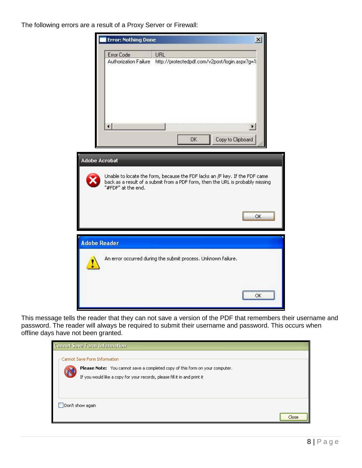The following errors are a result of a Proxy Server or Firewall:



This message tells the reader that they can not save a version of the PDF that remembers their username and password. The reader will always be required to submit their username and password. This occurs when offline days have not been granted.

| <b>Cannot Save Form Information</b>                                                                          |       |
|--------------------------------------------------------------------------------------------------------------|-------|
| Cannot Save Form Information<br>Please Note: You cannot save a completed copy of this form on your computer. |       |
| If you would like a copy for your records, please fill it in and print it                                    |       |
| Don't show again                                                                                             |       |
|                                                                                                              | Close |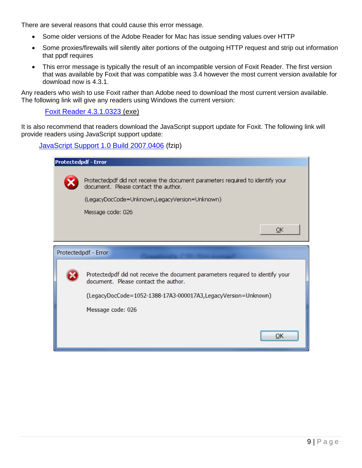There are several reasons that could cause this error message.

- Some older versions of the Adobe Reader for Mac has issue sending values over HTTP
- Some proxies/firewalls will silently alter portions of the outgoing HTTP request and strip out information that ppdf requires
- This error message is typically the result of an incompatible version of Foxit Reader. The first version that was available by Foxit that was compatible was 3.4 however the most current version available for download now is 4.3.1.

Any readers who wish to use Foxit rather than Adobe need to download the most current version available. The following link will give any readers using Windows the current version:

[Foxit Reader 4.3.1.0323](http://cdn01.foxitsoftware.com/pub/foxit/reader/desktop/win/4.x/4.3/enu/FoxitReader431_enu_Setup.exe) (exe)

It is also recommend that readers download the JavaScript support update for Foxit. The following link will provide readers using JavaScript support update:

[JavaScript Support 1.0 Build 2007.0406](http://downloads.foxitsoftware.com/getfile.php?product=Add-ons%20in%20Reader&version=1.0%20for%20JavaScript%20Support%20&language=enu&build=2007.0406&filetype=fzip&mirror=cdn01) (fzip)

| <b>Protectedpdf - Error</b> |                                                                                                                        |
|-----------------------------|------------------------------------------------------------------------------------------------------------------------|
|                             |                                                                                                                        |
|                             | Protectedpdf did not receive the document parameters required to identify your<br>document. Please contact the author. |
|                             | (LegacyDocCode=Unknown,LegacyVersion=Unknown)                                                                          |
|                             | Message code: 026                                                                                                      |
|                             | ОК                                                                                                                     |
|                             | Protectedpdf - Error                                                                                                   |
|                             | Protectedpdf did not receive the document parameters required to identify your<br>document. Please contact the author. |
|                             | (LegacyDocCode=1052-1388-17A3-000017A3,LegacyVersion=Unknown)                                                          |
|                             | Message code: 026                                                                                                      |
|                             |                                                                                                                        |
|                             | OK                                                                                                                     |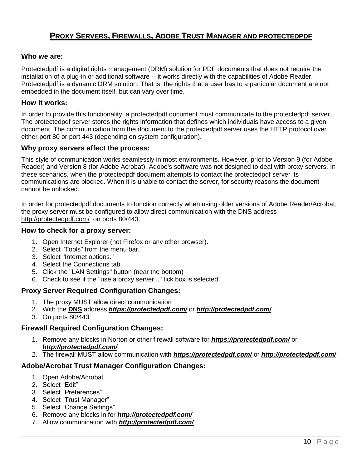# **PROXY SERVERS, FIREWALLS, ADOBE TRUST MANAGER AND PROTECTEDPDF**

### **Who we are:**

Protectedpdf is a digital rights management (DRM) solution for PDF documents that does not require the installation of a plug-in or additional software -- it works directly with the capabilities of Adobe Reader. Protectedpdf is a dynamic DRM solution. That is, the rights that a user has to a particular document are not embedded in the document itself, but can vary over time.

### **How it works:**

In order to provide this functionality, a protectedpdf document must communicate to the protectedpdf server. The protectedpdf server stores the rights information that defines which individuals have access to a given document. The communication from the document to the protectedpdf server uses the HTTP protocol over either port 80 or port 443 (depending on system configuration).

### **Why proxy servers affect the process:**

This style of communication works seamlessly in most environments. However, prior to Version 9 (for Adobe Reader) and Version 8 (for Adobe Acrobat), Adobe's software was not designed to deal with proxy servers. In these scenarios, when the protectedpdf document attempts to contact the protectedpdf server its communications are blocked. When it is unable to contact the server, for security reasons the document cannot be unlocked.

In order for protectedpdf documents to function correctly when using older versions of Adobe Reader/Acrobat, the proxy server must be configured to allow direct communication with the DNS address [http://protectedpdf.com/](http://documents.concrete.org/) on ports 80/443.

### **How to check for a proxy server:**

- 1. Open Internet Explorer (not Firefox or any other browser).
- 2. Select "Tools" from the menu bar.
- 3. Select "Internet options."
- 4. Select the Connections tab.
- 5. Click the "LAN Settings" button (near the bottom)
- 6. Check to see if the "use a proxy server..." tick box is selected.

## **Proxy Server Required Configuration Changes:**

- 1. The proxy MUST allow direct communication
- 2. With the **DNS** address *[https://protectedpdf.com/](https://ppdf.phoenix.edu/)* or *[http://protectedpdf.com/](http://ppdf.phoenix.edu/)*
- 3. On ports 80/443

## **Firewall Required Configuration Changes:**

- 1. Remove any blocks in Norton or other firewall software for *[https://protectedpdf.com/](https://ppdf.phoenix.edu/)* or *[http://protectedpdf.com/](http://ppdf.phoenix.edu/)*
- 2. The firewall MUST allow communication with *[https://protectedpdf.com/](https://ppdf.phoenix.edu/)* or *[http://protectedpdf.com/](http://ppdf.phoenix.edu/)*

## **Adobe/Acrobat Trust Manager Configuration Changes:**

- 1. Open Adobe/Acrobat
- 2. Select "Edit"
- 3. Select "Preferences"
- 4. Select "Trust Manager"
- 5. Select "Change Settings"
- 6. Remove any blocks in for *[http://protectedpdf.com/](http://ppdf.phoenix.edu/)*
- 7. Allow communication with *[http://protectedpdf.com/](http://ppdf.phoenix.edu/)*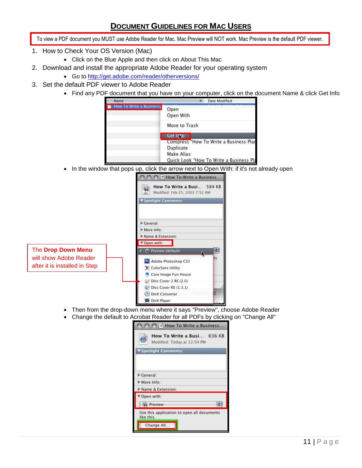# **DOCUMENT GUIDELINES FOR MAC USERS**

To view a PDF document you MUST use Adobe Reader for Mac. Mac Preview will NOT work. Mac Preview is the default PDF viewer.

- 1. How to Check Your OS Version (Mac)
	- Click on the Blue Apple and then click on About This Mac
- 2. Download and install the appropriate Adobe Reader for your operating system
- Go to<http://get.adobe.com/reader/otherversions/>
- 3. Set the default PDF viewer to Adobe Reader
	- Find any PDF document that you have on your computer, click on the document Name & click Get Info

| Name                    | Date Modified                                                                                                       |
|-------------------------|---------------------------------------------------------------------------------------------------------------------|
| How To Write a Business | Open<br>Open With                                                                                                   |
|                         | Move to Trash                                                                                                       |
|                         | Get Into                                                                                                            |
|                         | Compress "How To Write a Business Plar<br><b>Duplicate</b><br>Make Alias<br>Quick Look "How To Write a Business Pla |

• In the window that pops up, click the arrow next to Open With: if it's not already open

|                               | O O MI How To Write a Business                                                    |
|-------------------------------|-----------------------------------------------------------------------------------|
|                               | How To Write a Busi 584 KB<br><b>AND</b><br>PDF<br>Modified: Feb 25, 2003 7:52 AM |
|                               | ▼ Spotlight Comments:                                                             |
|                               |                                                                                   |
|                               | Ceneral:                                                                          |
|                               | More Info:                                                                        |
|                               | Mame & Extension:                                                                 |
|                               | ▼ Open with:                                                                      |
| The Drop Down Menu            | Preview (default)                                                                 |
| will show Adobe Reader        | ts<br>Ps Adobe Photoshop CS3                                                      |
| after it is installed in Step | ColorSync Utility                                                                 |
|                               | Core Image Fun House                                                              |
|                               | Disc Cover 2 RE (2.0)                                                             |
|                               | Disc Cover RE (1.3.1)                                                             |
|                               | DivX Converter                                                                    |
|                               | DivX Player                                                                       |
|                               |                                                                                   |

- Then from the drop-down menu where it says "Preview", choose Adobe Reader
- Change the default to Acrobat Reader for all PDFs by clicking on "Change All"

|                      | How To Write a Busi 636 KB<br>Modified: Today at 12:54 PM |  |
|----------------------|-----------------------------------------------------------|--|
| Spotlight Comments:  |                                                           |  |
| Ceneral:             |                                                           |  |
| More Info:           |                                                           |  |
|                      |                                                           |  |
| Name & Extension:    |                                                           |  |
| Open with:           |                                                           |  |
| <b>&amp; Preview</b> |                                                           |  |
| like this.           | Use this application to open all documents                |  |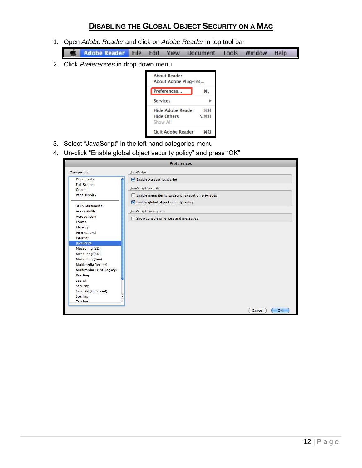# **DISABLING THE GLOBAL OBJECT SECURITY ON A MAC**

- 1. Open *Adobe Reader* and click on *Adobe Reader* in top tool bar
	- **Adobe Reader File** Window **Fdit** View Incls Help Document
- 2. Click *Preferences* in drop down menu



- 3. Select "JavaScript" in the left hand categories menu
- 4. Un-click "Enable global object security policy" and press "OK"

|                               | Preferences                                            |  |
|-------------------------------|--------------------------------------------------------|--|
| Categories:                   | JavaScript                                             |  |
| <b>Documents</b>              | Enable Acrobat JavaScript                              |  |
| <b>Full Screen</b><br>General | JavaScript Security                                    |  |
| Page Display                  | Enable menu items JavaScript execution privileges<br>m |  |
| 3D & Multimedia               | Enable global object security policy                   |  |
| Accessibility                 | JavaScript Debugger                                    |  |
| Acrobat.com                   | Show console on errors and messages<br>∩               |  |
| Forms                         |                                                        |  |
| Identity                      |                                                        |  |
| International                 |                                                        |  |
| Internet<br><b>JavaScript</b> |                                                        |  |
| Measuring (2D)                |                                                        |  |
| Measuring (3D)                |                                                        |  |
| Measuring (Geo)               |                                                        |  |
| Multimedia (legacy)           |                                                        |  |
| Multimedia Trust (legacy)     |                                                        |  |
| Reading                       |                                                        |  |
| Search                        |                                                        |  |
| Security                      |                                                        |  |
| Security (Enhanced)           |                                                        |  |
| Spelling                      |                                                        |  |
| ÷<br>Trackar                  |                                                        |  |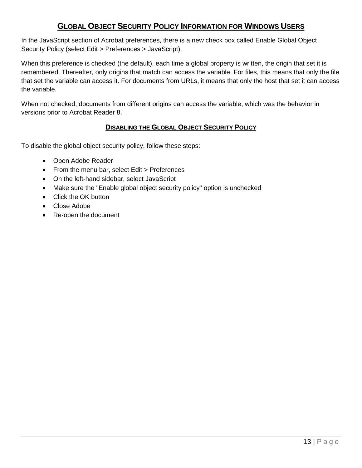# **GLOBAL OBJECT SECURITY POLICY INFORMATION FOR WINDOWS USERS**

In the JavaScript section of Acrobat preferences, there is a new check box called Enable Global Object Security Policy (select Edit > Preferences > JavaScript).

When this preference is checked (the default), each time a global property is written, the origin that set it is remembered. Thereafter, only origins that match can access the variable. For files, this means that only the file that set the variable can access it. For documents from URLs, it means that only the host that set it can access the variable.

When not checked, documents from different origins can access the variable, which was the behavior in versions prior to Acrobat Reader 8.

## **DISABLING THE GLOBAL OBJECT SECURITY POLICY**

To disable the global object security policy, follow these steps:

- Open Adobe Reader
- From the menu bar, select Edit > Preferences
- On the left-hand sidebar, select JavaScript
- Make sure the "Enable global object security policy" option is unchecked
- Click the OK button
- Close Adobe
- Re-open the document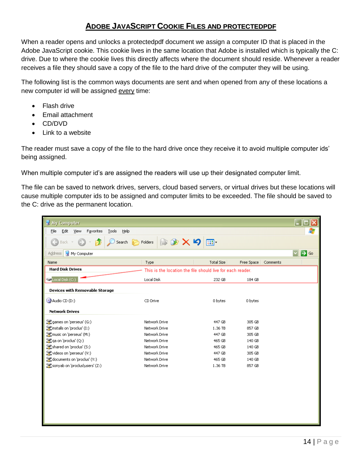# **ADOBE JAVASCRIPT COOKIE FILES AND PROTECTEDPDF**

When a reader opens and unlocks a protectedpdf document we assign a computer ID that is placed in the Adobe JavaScript cookie. This cookie lives in the same location that Adobe is installed which is typically the C: drive. Due to where the cookie lives this directly affects where the document should reside. Whenever a reader receives a file they should save a copy of the file to the hard drive of the computer they will be using.

The following list is the common ways documents are sent and when opened from any of these locations a new computer id will be assigned every time:

- Flash drive
- Email attachment
- CD/DVD
- Link to a website

The reader must save a copy of the file to the hard drive once they receive it to avoid multiple computer ids' being assigned.

When multiple computer id's are assigned the readers will use up their designated computer limit.

The file can be saved to network drives, servers, cloud based servers, or virtual drives but these locations will cause multiple computer ids to be assigned and computer limits to be exceeded. The file should be saved to the C: drive as the permanent location.

| My Computer                                        |                             |                                                            |                        |                  |
|----------------------------------------------------|-----------------------------|------------------------------------------------------------|------------------------|------------------|
| Eile<br>Tools<br>Help<br>Edit<br>View<br>Favorites |                             |                                                            |                        | 4                |
| <b>Back</b><br>Search                              | <b>はめ×り</b><br>Folders<br>c | $\overline{\mathbf{m}}$                                    |                        |                  |
| Address<br>My Computer                             |                             |                                                            |                        | $\Rightarrow$ Go |
| Name                                               | Type                        | Total Size                                                 | Free Space<br>Comments |                  |
| <b>Hard Disk Drives</b>                            |                             | This is the location the file should live for each reader. |                        |                  |
| Cocal Disk (C:)                                    | Local Disk                  | 232 GB                                                     | 184 GB                 |                  |
| <b>Devices with Removable Storage</b>              |                             |                                                            |                        |                  |
| $\bigcirc$ Audio CD (D:)                           | CD Drive                    | 0 bytes                                                    | 0 bytes                |                  |
| <b>Network Drives</b>                              |                             |                                                            |                        |                  |
| C games on 'perseus' (G:)                          | Network Drive               | 447 GB                                                     | 305 GB                 |                  |
| $\geq$ installs on 'proclus' (I:)                  | Network Drive               | 1.36 TB                                                    | 857 GB                 |                  |
| music on 'perseus' (M:)                            | Network Drive               | 447 GB                                                     | 305 GB                 |                  |
| Liga on 'proclus' (Q:)                             | Network Drive               | 465 GB                                                     | 140 GB                 |                  |
| Schared on 'proclus' (S:)                          | Network Drive               | 465 GB                                                     | 140 GB                 |                  |
| videos on 'perseus' (V:)                           | Network Drive               | 447 GB                                                     | 305 GB                 |                  |
| documents on 'proclus' (Y:)                        | Network Drive               | 465 GB                                                     | 140 GB                 |                  |
| sonyab on 'proclus\users' (Z:)                     | Network Drive               | 1.36 TB                                                    | 857 GB                 |                  |
|                                                    |                             |                                                            |                        |                  |
|                                                    |                             |                                                            |                        |                  |
|                                                    |                             |                                                            |                        |                  |
|                                                    |                             |                                                            |                        |                  |
|                                                    |                             |                                                            |                        |                  |
|                                                    |                             |                                                            |                        |                  |
|                                                    |                             |                                                            |                        |                  |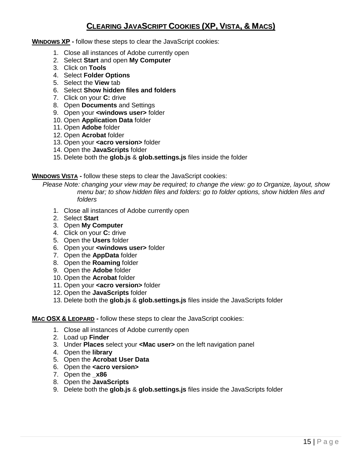# **CLEARING JAVASCRIPT COOKIES (XP, VISTA, & MACS)**

### **WINDOWS XP -** follow these steps to clear the JavaScript cookies:

- 1. Close all instances of Adobe currently open
- 2. Select **Start** and open **My Computer**
- 3. Click on **Tools**
- 4. Select **Folder Options**
- 5. Select the **View** tab
- 6. Select **Show hidden files and folders**
- 7. Click on your **C:** drive
- 8. Open **Documents** and Settings
- 9. Open your **<windows user>** folder
- 10. Open **Application Data** folder
- 11. Open **Adobe** folder
- 12. Open **Acrobat** folder
- 13. Open your **<acro version>** folder
- 14. Open the **JavaScripts** folder
- 15. Delete both the **glob.js** & **glob.settings.js** files inside the folder

**WINDOWS VISTA -** follow these steps to clear the JavaScript cookies:

*Please Note: changing your view may be required; to change the view: go to Organize, layout, show menu bar; to show hidden files and folders: go to folder options, show hidden files and folders*

- 1. Close all instances of Adobe currently open
- 2. Select **Start**
- 3. Open **My Computer**
- 4. Click on your **C:** drive
- 5. Open the **Users** folder
- 6. Open your **<windows user>** folder
- 7. Open the **AppData** folder
- 8. Open the **Roaming** folder
- 9. Open the **Adobe** folder
- 10. Open the **Acrobat** folder
- 11. Open your **<acro version>** folder
- 12. Open the **JavaScripts** folder
- 13. Delete both the **glob.js** & **glob.settings.js** files inside the JavaScripts folder

### **MAC OSX & LEOPARD -** follow these steps to clear the JavaScript cookies:

- 1. Close all instances of Adobe currently open
- 2. Load up **Finder**
- 3. Under **Places** select your **<Mac user>** on the left navigation panel
- 4. Open the **library**
- 5. Open the **Acrobat User Data**
- 6. Open the **<acro version>**
- 7. Open the **\_x86**
- 8. Open the **JavaScripts**
- 9. Delete both the **glob.js** & **glob.settings.js** files inside the JavaScripts folder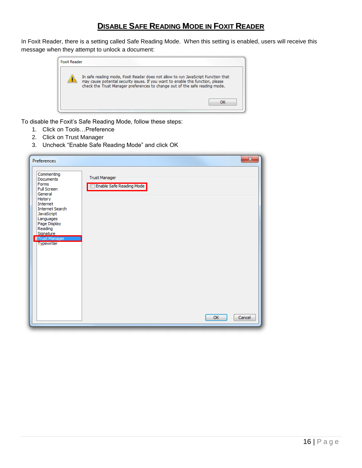# **DISABLE SAFE READING MODE IN FOXIT READER**

In Foxit Reader, there is a setting called Safe Reading Mode. When this setting is enabled, users will receive this message when they attempt to unlock a document:



To disable the Foxit's Safe Reading Mode, follow these steps:

- 1. Click on Tools…Preference
- 2. Click on Trust Manager
- 3. Uncheck "Enable Safe Reading Mode" and click OK

| Preferences                                                                                                                                                                                                                 | $\mathbf{x}$                                                     |
|-----------------------------------------------------------------------------------------------------------------------------------------------------------------------------------------------------------------------------|------------------------------------------------------------------|
| Commenting<br>Documents<br>Forms<br><b>Full Screen</b><br>General<br>History<br>Internet<br><b>Internet Search</b><br>JavaScript<br>Languages<br>Page Display<br>Reading<br><b>Signature</b><br>Trust Manager<br>Typewriter | <b>Trust Manager</b><br>Enable Safe Reading Mode<br>Cancel<br>OK |
|                                                                                                                                                                                                                             |                                                                  |